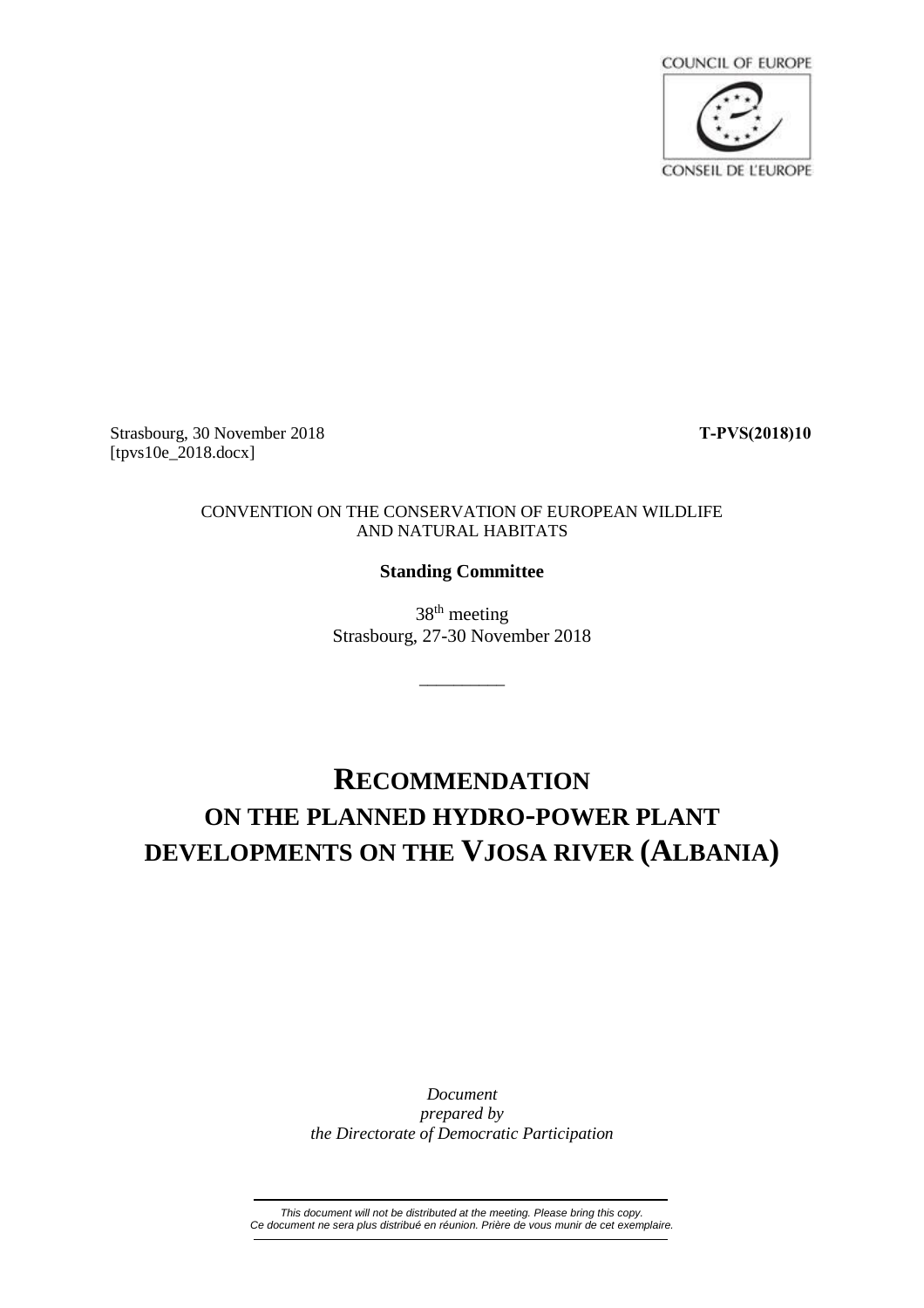

Strasbourg, 30 November 2018 **T-PVS(2018)10** [tpvs10e\_2018.docx]

## CONVENTION ON THE CONSERVATION OF EUROPEAN WILDLIFE AND NATURAL HABITATS

## **Standing Committee**

38<sup>th</sup> meeting Strasbourg, 27-30 November 2018

\_\_\_\_\_\_\_\_\_\_

## **RECOMMENDATION ON THE PLANNED HYDRO-POWER PLANT DEVELOPMENTS ON THE VJOSA RIVER (ALBANIA)**

*Document prepared by the Directorate of Democratic Participation*

*This document will not be distributed at the meeting. Please bring this copy. Ce document ne sera plus distribué en réunion. Prière de vous munir de cet exemplaire.*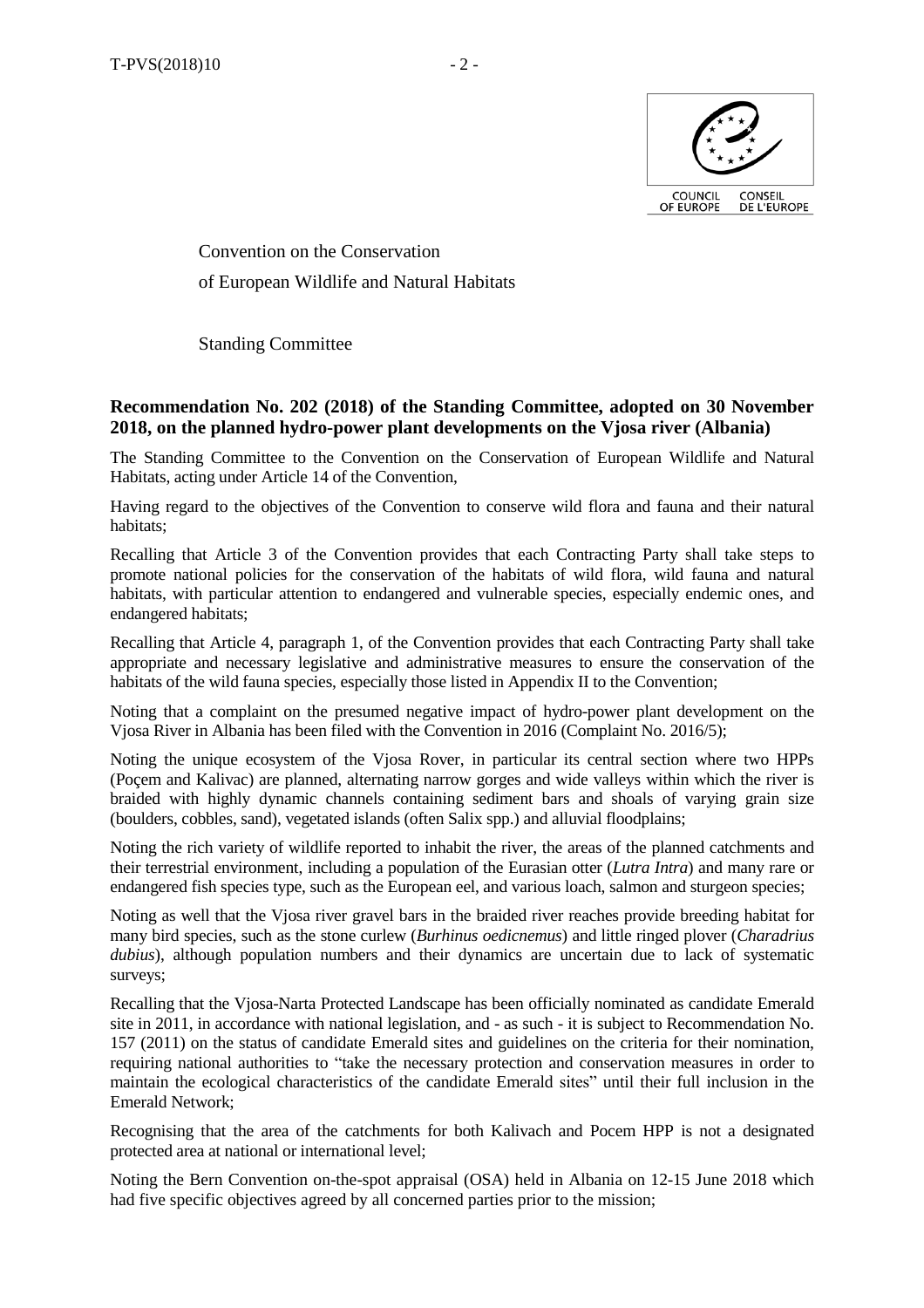

Convention on the Conservation of European Wildlife and Natural Habitats

Standing Committee

## **Recommendation No. 202 (2018) of the Standing Committee, adopted on 30 November 2018, on the planned hydro-power plant developments on the Vjosa river (Albania)**

The Standing Committee to the Convention on the Conservation of European Wildlife and Natural Habitats, acting under Article 14 of the Convention,

Having regard to the objectives of the Convention to conserve wild flora and fauna and their natural habitats;

Recalling that Article 3 of the Convention provides that each Contracting Party shall take steps to promote national policies for the conservation of the habitats of wild flora, wild fauna and natural habitats, with particular attention to endangered and vulnerable species, especially endemic ones, and endangered habitats;

Recalling that Article 4, paragraph 1, of the Convention provides that each Contracting Party shall take appropriate and necessary legislative and administrative measures to ensure the conservation of the habitats of the wild fauna species, especially those listed in Appendix II to the Convention;

Noting that a complaint on the presumed negative impact of hydro-power plant development on the Vjosa River in Albania has been filed with the Convention in 2016 (Complaint No. 2016/5);

Noting the unique ecosystem of the Vjosa Rover, in particular its central section where two HPPs (Poçem and Kalivac) are planned, alternating narrow gorges and wide valleys within which the river is braided with highly dynamic channels containing sediment bars and shoals of varying grain size (boulders, cobbles, sand), vegetated islands (often Salix spp.) and alluvial floodplains;

Noting the rich variety of wildlife reported to inhabit the river, the areas of the planned catchments and their terrestrial environment, including a population of the Eurasian otter (*Lutra Intra*) and many rare or endangered fish species type, such as the European eel, and various loach, salmon and sturgeon species;

Noting as well that the Vjosa river gravel bars in the braided river reaches provide breeding habitat for many bird species, such as the stone curlew (*Burhinus oedicnemus*) and little ringed plover (*Charadrius dubius*), although population numbers and their dynamics are uncertain due to lack of systematic surveys;

Recalling that the Vjosa-Narta Protected Landscape has been officially nominated as candidate Emerald site in 2011, in accordance with national legislation, and - as such - it is subject to Recommendation No. 157 (2011) on the status of candidate Emerald sites and guidelines on the criteria for their nomination, requiring national authorities to "take the necessary protection and conservation measures in order to maintain the ecological characteristics of the candidate Emerald sites" until their full inclusion in the Emerald Network;

Recognising that the area of the catchments for both Kalivach and Pocem HPP is not a designated protected area at national or international level;

Noting the Bern Convention on-the-spot appraisal (OSA) held in Albania on 12-15 June 2018 which had five specific objectives agreed by all concerned parties prior to the mission;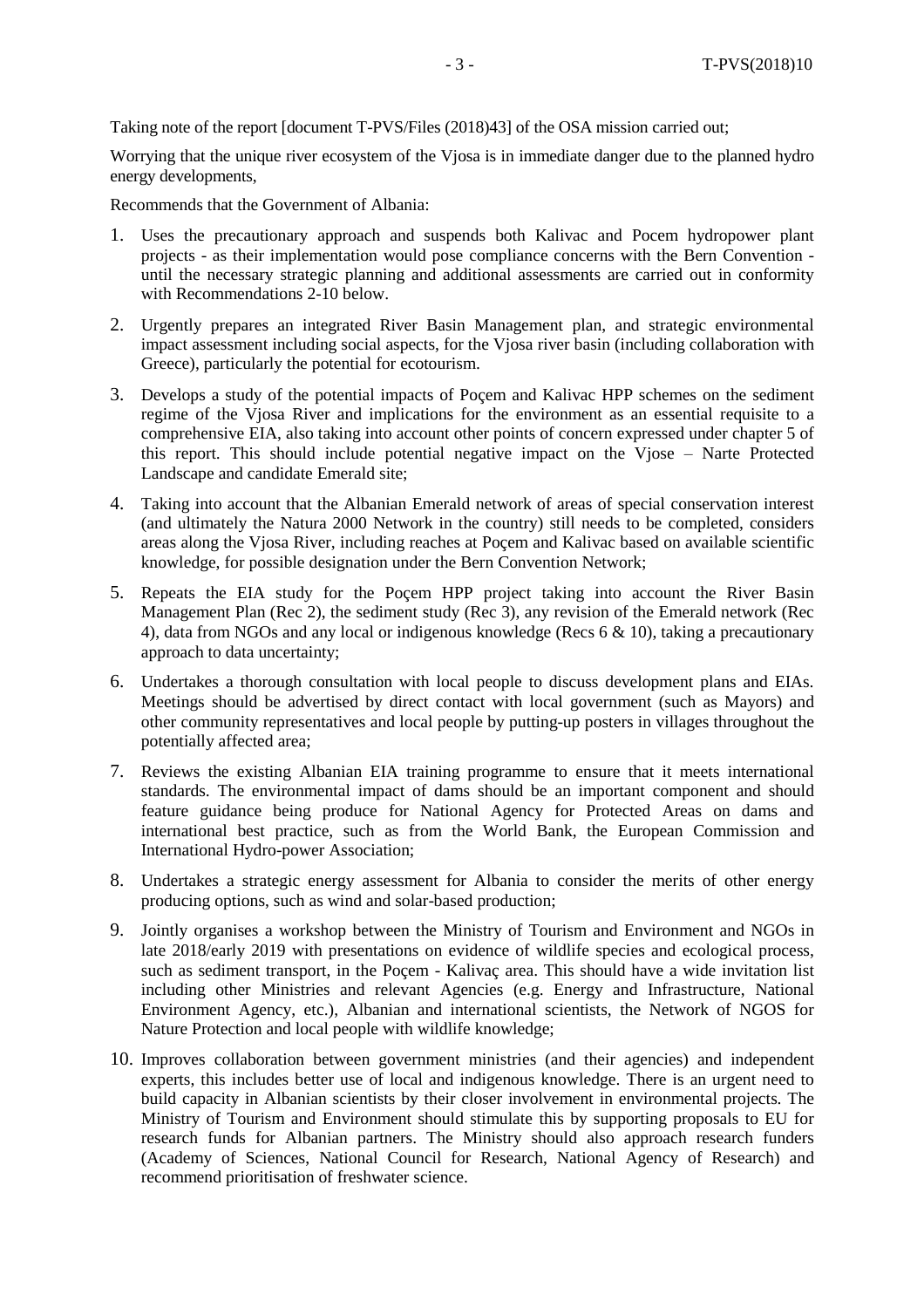Taking note of the report [document T-PVS/Files (2018)43] of the OSA mission carried out;

Worrying that the unique river ecosystem of the Vjosa is in immediate danger due to the planned hydro energy developments,

Recommends that the Government of Albania:

- 1. Uses the precautionary approach and suspends both Kalivac and Pocem hydropower plant projects - as their implementation would pose compliance concerns with the Bern Convention until the necessary strategic planning and additional assessments are carried out in conformity with Recommendations 2-10 below.
- 2. Urgently prepares an integrated River Basin Management plan, and strategic environmental impact assessment including social aspects, for the Vjosa river basin (including collaboration with Greece), particularly the potential for ecotourism.
- 3. Develops a study of the potential impacts of Poçem and Kalivac HPP schemes on the sediment regime of the Vjosa River and implications for the environment as an essential requisite to a comprehensive EIA, also taking into account other points of concern expressed under chapter 5 of this report. This should include potential negative impact on the Vjose – Narte Protected Landscape and candidate Emerald site;
- 4. Taking into account that the Albanian Emerald network of areas of special conservation interest (and ultimately the Natura 2000 Network in the country) still needs to be completed, considers areas along the Vjosa River, including reaches at Poçem and Kalivac based on available scientific knowledge, for possible designation under the Bern Convention Network;
- 5. Repeats the EIA study for the Poçem HPP project taking into account the River Basin Management Plan (Rec 2), the sediment study (Rec 3), any revision of the Emerald network (Rec 4), data from NGOs and any local or indigenous knowledge (Recs 6 & 10), taking a precautionary approach to data uncertainty;
- 6. Undertakes a thorough consultation with local people to discuss development plans and EIAs. Meetings should be advertised by direct contact with local government (such as Mayors) and other community representatives and local people by putting-up posters in villages throughout the potentially affected area;
- 7. Reviews the existing Albanian EIA training programme to ensure that it meets international standards. The environmental impact of dams should be an important component and should feature guidance being produce for National Agency for Protected Areas on dams and international best practice, such as from the World Bank, the European Commission and International Hydro-power Association;
- 8. Undertakes a strategic energy assessment for Albania to consider the merits of other energy producing options, such as wind and solar-based production;
- 9. Jointly organises a workshop between the Ministry of Tourism and Environment and NGOs in late 2018/early 2019 with presentations on evidence of wildlife species and ecological process, such as sediment transport, in the Poçem - Kalivaç area. This should have a wide invitation list including other Ministries and relevant Agencies (e.g. Energy and Infrastructure, National Environment Agency, etc.), Albanian and international scientists, the Network of NGOS for Nature Protection and local people with wildlife knowledge;
- 10. Improves collaboration between government ministries (and their agencies) and independent experts, this includes better use of local and indigenous knowledge. There is an urgent need to build capacity in Albanian scientists by their closer involvement in environmental projects. The Ministry of Tourism and Environment should stimulate this by supporting proposals to EU for research funds for Albanian partners. The Ministry should also approach research funders (Academy of Sciences, National Council for Research, National Agency of Research) and recommend prioritisation of freshwater science.